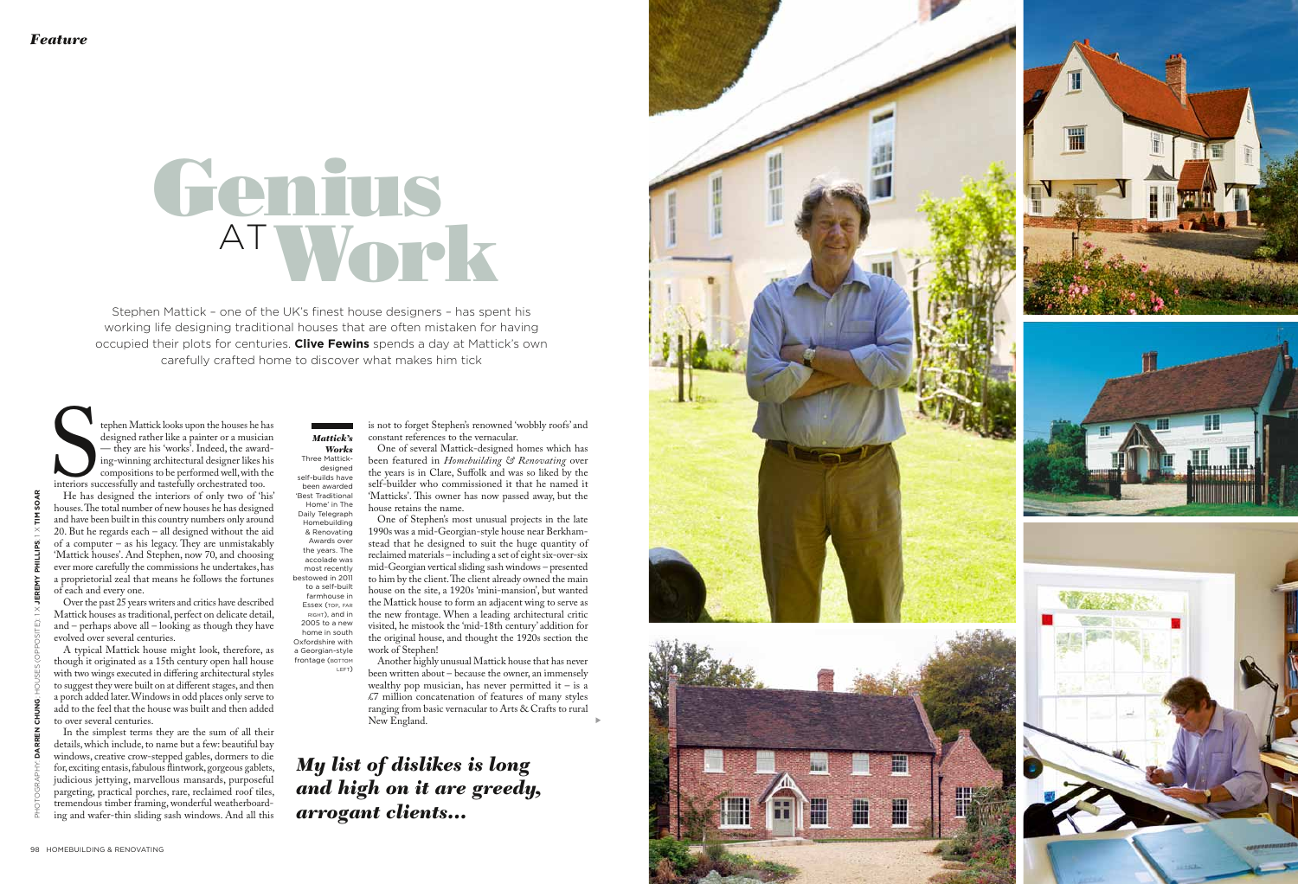

Stephen Mattick – one of the UK's finest house designers – has spent his working life designing traditional houses that are often mistaken for having occupied their plots for centuries. **Clive Fewins** spends a day at Mattick's own carefully crafted home to discover what makes him tick

tephen Mattick looks upon the houses he has designed rather like a painter or a musician — they are his 'works'. Indeed, the awarding-winning architectural designer likes his compositions to be performed well, with the int interiors successfully and tastefully orchestrated too.



designed rather like a painter or a musician — they are his 'works'. Indeed, the award ing-winning architectural designer likes his compositions to be performed well, with the

He has designed the interiors of only two of 'his' and have been built in this country numbers only around 20. But he regards each – all designed without the aid of a computer – as his legacy. They are unmistakably 'Mattick houses'. And Stephen, now 70, and choosing ever more carefully the commissions he undertakes, has a proprietorial zeal that means he follows the fortunes of each and every one.

## Work Genius AT

Over the past 25 years writers and critics have described Mattick houses as traditional, perfect on delicate detail, and – perhaps above all – looking as though they have evolved over several centuries. A typical Mattick house might look, therefore, as

though it originated as a 15th century open hall house with two wings executed in differing architectural styles to suggest they were built on at different stages, and then a porch added later. Windows in odd places only serve to add to the feel that the house was built and then added to over several centuries.

*Works* Three Mattickdesigned self-builds have been awarded ' Best Traditional Home' in The Daily Telegraph Homebuilding & Renovating Awards over the years. The accolade was most recently bestowed in 2011 to a self-built farmhouse in Essex (top, far right), and in 2005 to a new home in south Oxfordshire with a Georgian-style frontage (BOTTOM

In the simplest terms they are the sum of all their details, which include, to name but a few: beautiful bay windows, creative crow-stepped gables, dormers to die for, exciting entasis, fabulous flintwork, gorgeous gablets, judicious jettying, marvellous mansards, purposeful pargeting, practical porches, rare, reclaimed roof tiles, tremendous timber framing, wonderful weatherboard ing and wafer-thin sliding sash windows. And all this

One of several Mattick-designed homes which has been featured in *Homebuilding & Renovating* over the years is in Clare, Suffolk and was so liked by the self-builder who commissioned it that he named it 'Matticks'. This owner has now passed away, but the house retains the name.

is not to forget Stephen's renowned 'wobbly roofs' and constant references to the vernacular. *Mattick's* 

> One of Stephen's most unusual projects in the late 1990s was a mid-Georgian-style house near Berkham stead that he designed to suit the huge quantity of reclaimed materials – including a set of eight six-over-six mid-Georgian vertical sliding sash windows – presented to him by the client. The client already owned the main house on the site, a 1920s 'mini-mansion', but wanted the Mattick house to form an adjacent wing to serve as the new frontage. When a leading architectural critic visited, he mistook the 'mid-18th century' addition for the original house, and thought the 1920s section the work of Stephen!

Another highly unusual Mattick house that has never been written about – because the owner, an immensely wealthy pop musician, has never permitted it  $-$  is a £7 million concatenation of features of many styles ranging from basic vernacular to Arts & Crafts to rural New England.

left )

s

*My list of dislikes is long and high on it are greedy, arrogant clients…*

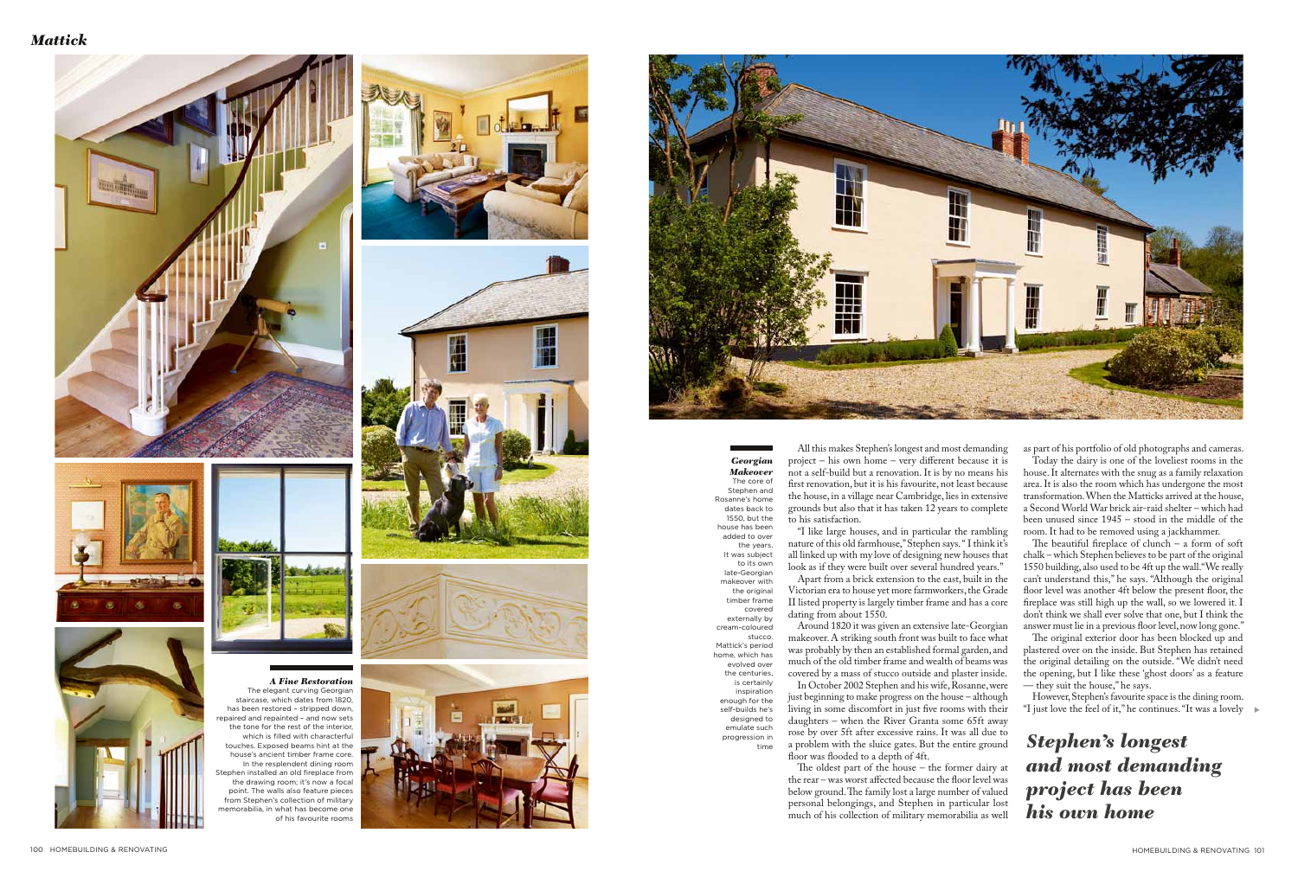



All this makes Stephen's longest and most demanding project – his own home – very different because it is not a self-build but a renovation. It is by no means his first renovation, but it is his favourite, not least because the house, in a village near Cambridge, lies in extensive grounds but also that it has taken 12 years to complete to his satisfaction.

"I like large houses, and in particular the rambling nature of this old farmhouse," Stephen says. " I think it's all linked up with my love of designing new houses that look as if they were built over several hundred years." Apart from a brick extension to the east, built in the Victorian era to house yet more farmworkers, the Grade II listed property is largely timber frame and has a core

dating from about 1550.

Around 1820 it was given an extensive late-Georgian makeover. A striking south front was built to face what was probably by then an established formal garden, and much of the old timber frame and wealth of beams was covered by a mass of stucco outside and plaster inside.

In October 2002 Stephen and his wife, Rosanne, were just beginning to make progress on the house – although living in some discomfort in just five rooms with their daughters – when the River Granta some 65ft away rose by over 5ft after excessive rains. It was all due to a problem with the sluice gates. But the entire ground floor was flooded to a depth of 4ft.

The beautiful fireplace of clunch – a form of soft chalk – which Stephen believes to be part of the original 1550 building, also used to be 4ft up the wall."We really can't understand this," he says. "Although the original floor level was another 4ft below the present floor, the fireplace was still high up the wall, so we lowered it. I don't think we shall ever solve that one, but I think the answer must lie in a previous floor level, now long gone.'

The oldest part of the house – the former dairy at the rear – was worst affected because the floor level was below ground. The family lost a large number of valued personal belongings, and Stephen in particular lost much of his collection of military memorabilia as well

However, Stephen's favourite space is the dining room. "**I** just love the feel of it," he continues. "It was a lovely →

*A Fine Restoration* The elegant curving Georgian staircase, which dates from 1820, has been restored – stripped down, repaired and repainted – and now sets the tone for the rest of the interior, which is filled with characterful touches. Exposed beams hint at the house's ancient timber frame core. In the resplendent dining room Stephen installed an old fireplace from the drawing room; it's now a focal point. The walls also feature pieces from Stephen's collection of military morabilia, in what has become one

*Georgian Makeover* The core of Stephen and Rosanne's home dates back to 1550, but the house has been added to over the years. It was subject to its own late-Georgian makeover with the original timber frame

covered

externally by cream-coloured stucco. Mattick's period home, which has evolved over the centuries, is certainly inspiration enough for the self-builds he's designed to emulate such progression in time

as part of his portfolio of old photographs and cameras.

Today the dairy is one of the loveliest rooms in the house. It alternates with the snug as a family relaxation area. It is also the room which has undergone the most transformation. When the Matticks arrived at the house, a Second World War brick air-raid shelter – which had been unused since 1945 – stood in the middle of the room. It had to be removed using a jackhammer.

The original exterior door has been blocked up and plastered over on the inside. But Stephen has retained the original detailing on the outside. "We didn't need the opening, but I like these 'ghost doors' as a feature — they suit the house," he says.

*Stephen's longest and most demanding project has been his own home*

of his favourite rooms



## *Mattick*